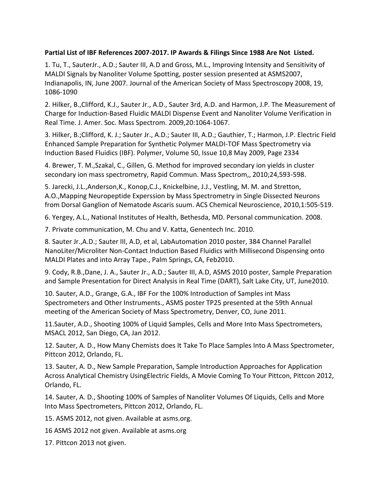## **Partial List of IBF References 2007-2017. IP Awards & Filings Since 1988 Are Not Listed.**

1. Tu, T., SauterJr., A.D.; Sauter III, A.D and Gross, M.L., Improving Intensity and Sensitivity of MALDI Signals by Nanoliter Volume Spotting, poster session presented at ASMS2007, Indianapolis, IN, June 2007. Journal of the American Society of Mass Spectroscopy 2008, 19, 1086-1090

2. Hilker, B.,Clifford, K.J., Sauter Jr., A.D., Sauter 3rd, A.D. and Harmon, J.P. The Measurement of Charge for Induction-Based Fluidic MALDI Dispense Event and Nanoliter Volume Verification in Real Time. J. Amer. Soc. Mass Spectrom. 2009,20:1064-1067.

3. Hilker, B.;Clifford, K. J.; Sauter Jr., A.D.; Sauter III, A.D.; Gauthier, T.; Harmon, J.P. Electric Field Enhanced Sample Preparation for Synthetic Polymer MALDI-TOF Mass Spectrometry via Induction Based Fluidics (IBF). Polymer, Volume 50, Issue 10,8 May 2009, Page 2334

4. Brewer, T. M.,Szakal, C., Gillen, G. Method for improved secondary ion yields in cluster secondary ion mass spectrometry, Rapid Commun. Mass Spectrom,, 2010;24,593-598.

5. Jarecki, J.L.,Anderson,K., Konop,C.J., Knickelbine, J.J., Vestling, M. M. and Stretton, A.O.,Mapping Neuropeptide Experssion by Mass Spectrometry in Single Dissected Neurons from Dorsal Ganglion of Nematode Ascaris suum. ACS Chemical Neuroscience, 2010,1:505-519.

6. Yergey, A.L., National Institutes of Health, Bethesda, MD. Personal communication. 2008.

7. Private communication, M. Chu and V. Katta, Genentech Inc. 2010.

8. Sauter Jr.,A.D.; Sauter III, A.D, et al, LabAutomation 2010 poster, 384 Channel Parallel NanoLiter/Microliter Non-Contact Induction Based Fluidics with Millisecond Dispensing onto MALDI Plates and into Array Tape., Palm Springs, CA, Feb2010.

9. Cody, R.B.,Dane, J. A., Sauter Jr., A.D.; Sauter III, A.D, ASMS 2010 poster, Sample Preparation and Sample Presentation for Direct Analysis in Real Time (DART), Salt Lake City, UT, June2010.

10. Sauter, A.D., Grange, G.A., IBF For the 100% Introduction of Samples int Mass Spectrometers and Other Instruments., ASMS poster TP25 presented at the 59th Annual meeting of the American Society of Mass Spectrometry, Denver, CO, June 2011.

11.Sauter, A.D., Shooting 100% of Liquid Samples, Cells and More Into Mass Spectrometers, MSACL 2012, San Diego, CA, Jan 2012.

12. Sauter, A. D., How Many Chemists does It Take To Place Samples Into A Mass Spectrometer, Pittcon 2012, Orlando, FL.

13. Sauter, A. D., New Sample Preparation, Sample Introduction Approaches for Application Across Analytical Chemistry UsingElectric Fields, A Movie Coming To Your Pittcon, Pittcon 2012, Orlando, FL.

14. Sauter, A. D., Shooting 100% of Samples of Nanoliter Volumes Of Liquids, Cells and More Into Mass Spectrometers, Pittcon 2012, Orlando, FL.

15. ASMS 2012, not given. Available at asms.org.

16 ASMS 2012 not given. Available at asms.org

17. Pittcon 2013 not given.